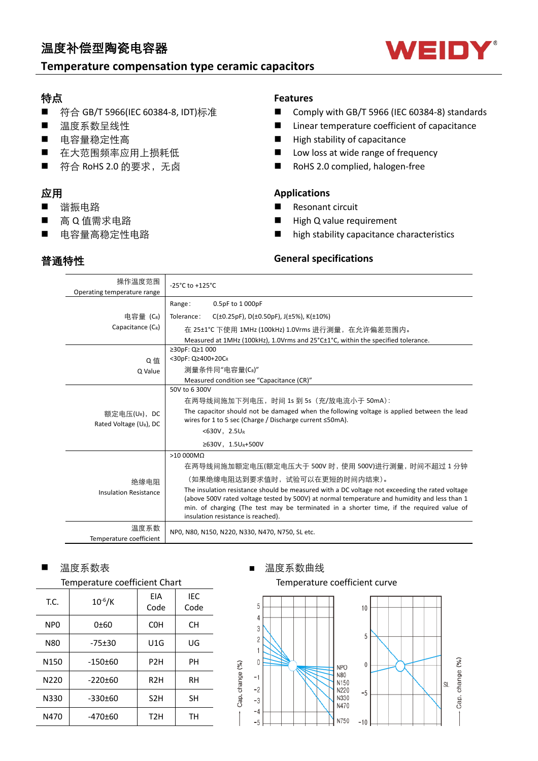## 温度补偿型陶瓷电容器

## **Temperature compensation type ceramic capacitors**

## 特点

- 符合 GB/T 5966(IEC 60384-8, IDT)标准
- 温度系数呈线性
- 电容量稳定性高
- 在大范围频率应用上损耗低
- 符合 RoHS 2.0 的要求, 无卤

### 应用

■ 谐振电路

普通特性

- 高 Q 值需求电路
- 电容量高稳定性电路

### **Features**

- Comply with GB/T 5966 (IEC 60384-8) standards
- $\blacksquare$  Linear temperature coefficient of capacitance
- $\blacksquare$  High stability of capacitance
- **n** Low loss at wide range of frequency
- RoHS 2.0 complied, halogen-free

### **Applications**

- Resonant circuit
- High Q value requirement
- $\blacksquare$  high stability capacitance characteristics

### **General specifications**

| 操作温度范围<br>Operating temperature range              | $-25^{\circ}$ C to $+125^{\circ}$ C                                                                                                                                                                                                                                                                                              |  |  |  |  |  |  |  |
|----------------------------------------------------|----------------------------------------------------------------------------------------------------------------------------------------------------------------------------------------------------------------------------------------------------------------------------------------------------------------------------------|--|--|--|--|--|--|--|
|                                                    | 0.5pF to 1 000pF<br>Range:                                                                                                                                                                                                                                                                                                       |  |  |  |  |  |  |  |
| 电容量 (CR)                                           | Tolerance:<br>$C(\pm 0.25pF)$ , D( $\pm 0.50pF$ ), J( $\pm 5\%$ ), K( $\pm 10\%$ )                                                                                                                                                                                                                                               |  |  |  |  |  |  |  |
| Capacitance (CR)                                   | 在 25±1℃ 下使用 1MHz (100kHz) 1.0Vrms 进行测量,在允许偏差范围内。                                                                                                                                                                                                                                                                                 |  |  |  |  |  |  |  |
|                                                    | Measured at 1MHz (100kHz), 1.0Vrms and 25°C±1°C, within the specified tolerance.                                                                                                                                                                                                                                                 |  |  |  |  |  |  |  |
|                                                    | ≥30pF: Q≥1 000                                                                                                                                                                                                                                                                                                                   |  |  |  |  |  |  |  |
| Q值                                                 | <30pF: Q≥400+20CR                                                                                                                                                                                                                                                                                                                |  |  |  |  |  |  |  |
| Q Value                                            | 测量条件同"电容量(CR)"                                                                                                                                                                                                                                                                                                                   |  |  |  |  |  |  |  |
|                                                    | Measured condition see "Capacitance (CR)"                                                                                                                                                                                                                                                                                        |  |  |  |  |  |  |  |
|                                                    | 50V to 6 300V                                                                                                                                                                                                                                                                                                                    |  |  |  |  |  |  |  |
|                                                    | 在两导线间施加下列电压, 时间 1s 到 5s (充/放电流小于 50mA):                                                                                                                                                                                                                                                                                          |  |  |  |  |  |  |  |
| 额定电压(UR),DC<br>Rated Voltage (U <sub>R</sub> ), DC | The capacitor should not be damaged when the following voltage is applied between the lead<br>wires for 1 to 5 sec (Charge / Discharge current ≤50mA).                                                                                                                                                                           |  |  |  |  |  |  |  |
|                                                    | $<$ 630V, 2.5UR                                                                                                                                                                                                                                                                                                                  |  |  |  |  |  |  |  |
|                                                    | ≥630V, 1.5UR+500V                                                                                                                                                                                                                                                                                                                |  |  |  |  |  |  |  |
|                                                    | $>10000M\Omega$                                                                                                                                                                                                                                                                                                                  |  |  |  |  |  |  |  |
|                                                    | 在两导线间施加额定电压(额定电压大于 500V 时,使用 500V)进行测量,时间不超过 1 分钟                                                                                                                                                                                                                                                                                |  |  |  |  |  |  |  |
| 绝缘电阻                                               | (如果绝缘电阻达到要求值时, 试验可以在更短的时间内结束)。                                                                                                                                                                                                                                                                                                   |  |  |  |  |  |  |  |
| <b>Insulation Resistance</b>                       | The insulation resistance should be measured with a DC voltage not exceeding the rated voltage<br>(above 500V rated voltage tested by 500V) at normal temperature and humidity and less than 1<br>min. of charging (The test may be terminated in a shorter time, if the required value of<br>insulation resistance is reached). |  |  |  |  |  |  |  |
| 温度系数<br>Temperature coefficient                    | NPO, N80, N150, N220, N330, N470, N750, SL etc.                                                                                                                                                                                                                                                                                  |  |  |  |  |  |  |  |

### ■ 温度系数表 ■ 画 温度系数曲线

| T.C.             | $10^{-6}$ /K  | FIA<br>Code      | IEC<br>Code |
|------------------|---------------|------------------|-------------|
| N <sub>PO</sub>  | 0±60          | <b>COH</b>       | <b>CH</b>   |
| N80              | $-75±30$      | U1G              | UG          |
| N <sub>150</sub> | $-150±60$     | P <sub>2</sub> H | PН          |
| N220             | $-220 \pm 60$ | R <sub>2</sub> H | RH          |
| N330             | $-330+60$     | S <sub>2</sub> H | <b>SH</b>   |
| N470             | -470±60       | T <sub>2</sub> H | TН          |

### Temperature coefficient Chart Temperature coefficient curve



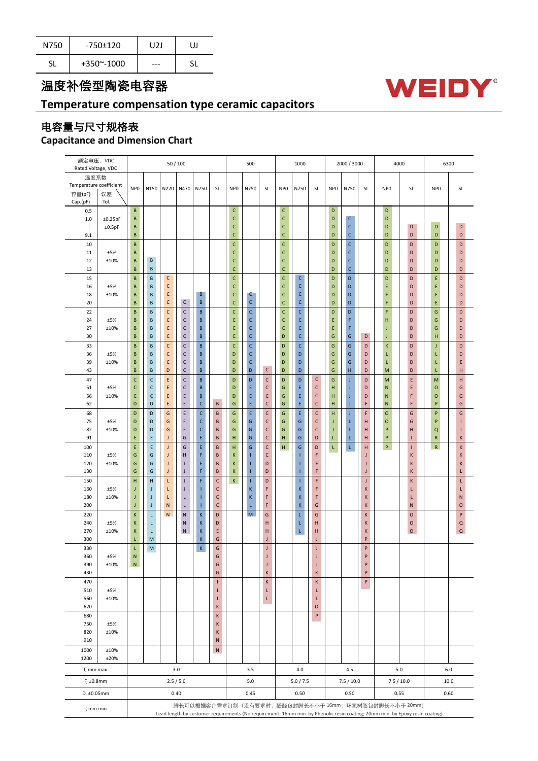| N750 | -750±120             | U2J | UJ |
|------|----------------------|-----|----|
| SL   | $+350^{\sim} - 1000$ | --- | c١ |

## 温度补偿型陶瓷电容器

## **Temperature compensation type ceramic capacitors**

# 电容量与尺寸规格表

## **Capacitance and Dimension Chart**

| 额定电压,VDC                   |             | 50 / 100                                                                                                                                                                               |                            |              | 1000<br>500                |                |                              |                              |                  | 2000 / 3000                  |                              |                  | 4000                         |                 | 6300                         |             |                 |              |                 |                |
|----------------------------|-------------|----------------------------------------------------------------------------------------------------------------------------------------------------------------------------------------|----------------------------|--------------|----------------------------|----------------|------------------------------|------------------------------|------------------|------------------------------|------------------------------|------------------|------------------------------|-----------------|------------------------------|-------------|-----------------|--------------|-----------------|----------------|
| Rated Voltage, VDC<br>温度系数 |             |                                                                                                                                                                                        |                            |              |                            |                |                              |                              |                  |                              |                              |                  |                              |                 |                              |             |                 |              |                 |                |
| Temperature coefficient    |             |                                                                                                                                                                                        |                            |              |                            |                |                              |                              |                  |                              |                              |                  |                              |                 |                              |             |                 |              |                 |                |
| 容量(pF)                     | 误差          | NP <sub>0</sub>                                                                                                                                                                        | N150                       | N220         | N470                       | N750           | SL                           | NP <sub>0</sub>              | N750             | SL                           | NP <sub>0</sub>              | N750             | SL                           | NP <sub>0</sub> | N750                         | SL          | NP <sub>0</sub> | SL           | NP <sub>0</sub> | SL             |
| Cap.(pF)                   | Tol.        |                                                                                                                                                                                        |                            |              |                            |                |                              |                              |                  |                              |                              |                  |                              |                 |                              |             |                 |              |                 |                |
| 0.5                        |             | B                                                                                                                                                                                      |                            |              |                            |                |                              | $\mathsf{C}$                 |                  |                              | $\mathsf{C}$                 |                  |                              | D               |                              |             | D               |              |                 |                |
| $1.0$                      | ±0.25pF     | $\sf{B}$                                                                                                                                                                               |                            |              |                            |                |                              | $\mathsf{C}$                 |                  |                              | $\mathsf{C}$                 |                  |                              | D               | $\mathsf{C}$                 |             | D               |              |                 |                |
| ÷                          | ±0.5pF      | B                                                                                                                                                                                      |                            |              |                            |                |                              | $\mathsf{C}$                 |                  |                              | $\mathsf{C}$                 |                  |                              | D               | $\mathsf{C}$                 |             | D               | D            | D               | D              |
| 9.1                        |             | $\sf{B}$                                                                                                                                                                               |                            |              |                            |                |                              | $\mathsf{C}$                 |                  |                              | $\mathsf{C}$                 |                  |                              | D               | $\mathsf{C}$                 |             | D               | D            | D               | D              |
| 10                         |             | B                                                                                                                                                                                      |                            |              |                            |                |                              | $\mathsf{C}$                 |                  |                              | $\mathsf{C}$                 |                  |                              | D               | $\mathsf{C}$                 |             | D               | D            | D               | D              |
| 11<br>12                   | ±5%<br>±10% | B<br>B                                                                                                                                                                                 | B                          |              |                            |                |                              | $\mathsf{C}$<br>$\mathsf{C}$ |                  |                              | $\mathsf{C}$<br>$\mathsf{C}$ |                  |                              | D<br>D          | $\mathsf{C}$<br>$\mathsf{C}$ |             | D<br>D          | D<br>D       | D<br>D          | D<br>D         |
| 13                         |             | B                                                                                                                                                                                      | B                          |              |                            |                |                              | $\mathsf{C}$                 |                  |                              | $\mathsf{C}$                 |                  |                              | D               | $\mathsf{C}$                 |             | D               | D            | D               | D              |
| 15                         |             | B                                                                                                                                                                                      | B                          | $\mathsf{C}$ |                            |                |                              | $\mathsf{C}$                 |                  |                              | $\mathsf{C}$                 | $\mathsf C$      |                              | D               | D                            |             | D               | D            | E               | D              |
| 16                         | ±5%         | $\sf{B}$                                                                                                                                                                               | B                          | $\mathsf{C}$ |                            |                |                              | $\mathsf{C}$                 |                  |                              | $\mathsf{C}$                 | $\mathsf{C}$     |                              | D               | $\mathsf D$                  |             | Ε               | D            | E               | D              |
| 18                         | ±10%        | B                                                                                                                                                                                      | $\sf{B}$                   | $\mathsf{C}$ |                            | В              |                              | $\mathsf{C}$                 | $\mathsf{C}$     |                              | $\mathsf{C}$                 | C                |                              | D               | $\mathsf D$                  |             | F               | D            | E               | D              |
| 20                         |             | $\sf{B}$                                                                                                                                                                               | B                          | $\mathsf C$  | $\mathsf{C}$               | B              |                              | $\mathsf{C}$                 | $\mathsf{C}$     |                              | $\mathsf{C}$                 | $\mathsf{C}$     |                              | D               | D                            |             | F               | D            | E               | D              |
| 22                         |             | $\sf{B}$                                                                                                                                                                               | B                          | $\mathsf{C}$ | $\mathsf{C}$               | $\sf{B}$       |                              | C                            | C                |                              | $\mathsf{C}$                 | $\mathsf{C}$     |                              | $\mathsf D$     | $\mathsf D$                  |             | F               | D            | ${\mathsf G}$   | D              |
| 24                         | ±5%         | B                                                                                                                                                                                      | B                          | $\mathsf{C}$ | $\mathsf C$                | B              |                              | $\mathsf{C}$                 | C                |                              | $\mathsf{C}$                 | $\mathsf{C}$     |                              | E               | F                            |             | н               | D            | ${\mathsf G}$   | D              |
| 27                         | ±10%        | B                                                                                                                                                                                      | B                          | $\mathsf{C}$ | $\mathsf C$                | $\sf{B}$       |                              | $\mathsf{C}$                 | C                |                              | $\mathsf{C}$                 | C                |                              | E               | F                            |             | J               | D            | ${\mathsf G}$   | D              |
| 30                         |             | B                                                                                                                                                                                      | B                          | $\mathsf C$  | $\mathsf C$                | B              |                              | $\mathsf{C}$                 | $\mathsf{C}$     |                              | D                            | $\mathsf{C}$     |                              | G               | ${\mathsf G}$                | D           | J               | D            | н               | D              |
| 33                         |             | $\sf{B}$                                                                                                                                                                               | B                          | $\mathsf{C}$ | $\mathsf C$                | $\sf{B}$       |                              | $\mathsf{C}$                 | C                |                              | D                            | $\mathsf c$      |                              | G               | ${\mathsf G}$                | D           | Κ               | D            | J               | D              |
| 36                         | ±5%         | B                                                                                                                                                                                      | B                          | $\mathsf{C}$ | $\mathsf C$                | B              |                              | D                            | C                |                              | D                            | D                |                              | G               | ${\mathsf G}$                | D           | L               | D            | L               | D              |
| 39                         | ±10%        | B                                                                                                                                                                                      | B                          | $\mathsf{C}$ | $\mathsf C$<br>$\mathsf C$ | B              |                              | D                            | C<br>$\mathsf D$ | $\mathsf{C}$                 | D                            | D                |                              | G               | ${\mathsf G}$<br>$\mathsf H$ | D           | L               | D            | L               | E              |
| 43                         |             | $\sf{B}$                                                                                                                                                                               | B                          | D            |                            | $\sf{B}$       |                              | D                            |                  |                              | D                            | D                |                              | G               |                              | D           | M               | $\mathsf D$  | L               | H              |
| 47<br>51                   | ±5%         | $\mathsf{C}$<br>$\mathsf{C}$                                                                                                                                                           | $\mathsf C$<br>$\mathsf C$ | E.<br>E      | $\mathsf C$<br>$\mathsf C$ | B<br>B         |                              | D<br>D                       | $\mathsf D$<br>E | $\mathsf{C}$<br>$\mathsf{C}$ | D<br>G                       | $\mathsf D$<br>E | $\mathsf{C}$<br>$\mathsf{C}$ | G<br>н          | $\mathsf J$<br>$\mathsf J$   | D<br>D      | M<br>N          | Ε<br>E       | M<br>$\circ$    | н<br>G         |
| 56                         | ±10%        | $\mathsf{C}$                                                                                                                                                                           | $\mathsf C$                | E            | E                          | B              |                              | D                            | E                | $\mathsf{C}$                 | G                            | E                | $\mathsf{C}$                 | н               | J                            | D           | N               | F            | $\mathsf O$     | G              |
| 62                         |             | D                                                                                                                                                                                      | D                          | E            | $\mathsf E$                | $\mathsf{C}$   | B                            | G                            | E                | $\mathsf{C}$                 | G                            | E                | $\mathsf{C}$                 | Н               | $\bf J$                      | F           | N               | F            | P               | G              |
| 68                         |             | D                                                                                                                                                                                      | D                          | G            | E                          | $\mathsf{C}$   | B                            | G                            | E,               | $\mathsf{C}$                 | G                            | E                | $\mathsf C$                  | H               | J                            | F           | $\mathsf O$     | G            | P               | G              |
| 75                         | ±5%         | D                                                                                                                                                                                      | D                          | G            | F                          | $\mathsf{C}$   | B                            | G                            | G                | $\mathsf{C}$                 | G                            | G                | $\mathsf{C}$                 | J               | L                            | Н           | $\circ$         | G            | P               | I.             |
| 82                         | ±10%        | D                                                                                                                                                                                      | D                          | G            | F                          | $\mathsf{C}$   | B                            | G                            | ${\mathsf G}$    | $\mathsf{C}$                 | G                            | G                | С                            | J               | L                            | H           | P               | H            | $\mathsf Q$     | T.             |
| 91                         |             | E                                                                                                                                                                                      | E                          | $\mathsf J$  | G                          | E              | $\sf{B}$                     | Н                            | G                | $\mathsf{C}$                 | H                            | ${\mathsf G}$    | D                            | L               | L                            | H           | P               | $\mathbf{I}$ | R               | Κ              |
| 100                        |             | E                                                                                                                                                                                      | E                          | J            | G                          | E              | B                            | н                            | G                | $\mathsf{C}$                 | H                            | ${\mathsf G}$    | D                            | L.              | L.                           | H           | P               | T.           | $\mathsf{R}$    | Κ              |
| 110                        | ±5%         | G                                                                                                                                                                                      | G                          | J            | H                          | F              | B                            | K                            | T                | $\mathsf{C}$                 |                              | т                | F                            |                 |                              | J           |                 | Κ            |                 | Κ              |
| 120                        | ±10%        | G                                                                                                                                                                                      | G                          | J            | J                          | F              | B                            | K                            | T                | D                            |                              | т                | F                            |                 |                              | J           |                 | Κ            |                 | Κ              |
| 130                        |             | G                                                                                                                                                                                      | G                          | $\mathsf J$  | $\mathsf J$                | F              | $\sf{B}$                     | K                            | T.               | D                            |                              | т                | F                            |                 |                              | $\mathsf J$ |                 | K            |                 | L              |
| 150                        |             | Н                                                                                                                                                                                      | н                          | L            | $\mathsf J$                | F              | $\mathsf{C}$                 | $\mathsf K$                  | т                | D                            |                              | T                | F                            |                 |                              | $\mathsf J$ |                 | K            |                 | L.             |
| 160<br>180                 | ±5%<br>±10% | J<br>$\mathsf J$                                                                                                                                                                       | $\mathsf J$<br>$\mathsf J$ | L<br>L       | $\mathsf J$<br>L.          | п<br>п         | $\mathsf{C}$<br>$\mathsf{C}$ |                              | K<br>K           | F<br>F                       |                              | K<br>K           | F<br>F                       |                 |                              | K<br>K      |                 | L<br>L       |                 | L<br>${\sf N}$ |
| 200                        |             | J                                                                                                                                                                                      | $\mathsf J$                | N            | L                          | п              | $\mathsf{C}$                 |                              | L                | F                            |                              | K                | G                            |                 |                              | Κ           |                 | ${\sf N}$    |                 | $\mathsf O$    |
| 220                        |             | K                                                                                                                                                                                      | L                          | $\mathsf{N}$ | ${\sf N}$                  | $\mathsf K$    | D                            |                              | M                | G                            |                              | L                | G                            |                 |                              | K           |                 | $\mathsf O$  |                 | P              |
| 240                        | ±5%         | K                                                                                                                                                                                      | L                          |              | ${\sf N}$                  | K              | D                            |                              |                  | Н                            |                              | L                | н                            |                 |                              | K           |                 | $\mathsf O$  |                 | $\mathsf Q$    |
| 270                        | ±10%        | K                                                                                                                                                                                      | L                          |              | ${\sf N}$                  | $\sf K$        | E                            |                              |                  | Н                            |                              | L                | Н                            |                 |                              | K           |                 | $\circ$      |                 | $\mathsf Q$    |
| 300                        |             | L                                                                                                                                                                                      | M                          |              |                            | $\mathsf K$    | G                            |                              |                  | J                            |                              |                  | J                            |                 |                              | P           |                 |              |                 |                |
| 330                        |             | L                                                                                                                                                                                      | ${\sf M}$                  |              |                            | $\mathsf{K}^-$ | G                            |                              |                  | $\mathsf J$                  |                              |                  | $\mathsf J$                  |                 |                              | P           |                 |              |                 |                |
| 360                        | ±5%         | N                                                                                                                                                                                      |                            |              |                            |                | G                            |                              |                  | J                            |                              |                  | J                            |                 |                              | P           |                 |              |                 |                |
| 390                        | ±10%        | N                                                                                                                                                                                      |                            |              |                            |                | G                            |                              |                  | J                            |                              |                  | J                            |                 |                              | P           |                 |              |                 |                |
| 430                        |             |                                                                                                                                                                                        |                            |              |                            |                | G                            |                              |                  | K                            |                              |                  | K                            |                 |                              | P           |                 |              |                 |                |
| 470                        |             |                                                                                                                                                                                        |                            |              |                            |                | п                            |                              |                  | Κ                            |                              |                  | K                            |                 |                              | P           |                 |              |                 |                |
| 510<br>560                 | ±5%<br>±10% |                                                                                                                                                                                        |                            |              |                            |                | п<br>т                       |                              |                  | L<br>L                       |                              |                  | L<br>L                       |                 |                              |             |                 |              |                 |                |
| 620                        |             |                                                                                                                                                                                        |                            |              |                            |                | $\sf K$                      |                              |                  |                              |                              |                  | $\circ$                      |                 |                              |             |                 |              |                 |                |
| 680                        |             |                                                                                                                                                                                        |                            |              |                            |                | K                            |                              |                  |                              |                              |                  | P                            |                 |                              |             |                 |              |                 |                |
| 750                        | ±5%         |                                                                                                                                                                                        |                            |              |                            |                | K                            |                              |                  |                              |                              |                  |                              |                 |                              |             |                 |              |                 |                |
| 820                        | ±10%        |                                                                                                                                                                                        |                            |              |                            |                | K                            |                              |                  |                              |                              |                  |                              |                 |                              |             |                 |              |                 |                |
| 910                        |             |                                                                                                                                                                                        |                            |              |                            |                | N                            |                              |                  |                              |                              |                  |                              |                 |                              |             |                 |              |                 |                |
| 1000                       | ±10%        |                                                                                                                                                                                        |                            |              |                            |                | ${\sf N}$                    |                              |                  |                              |                              |                  |                              |                 |                              |             |                 |              |                 |                |
| 1200                       | ±20%        |                                                                                                                                                                                        |                            |              |                            |                |                              |                              |                  |                              |                              |                  |                              |                 |                              |             |                 |              |                 |                |
| T, mm max.                 |             |                                                                                                                                                                                        | 3.0                        |              |                            |                |                              | 3.5<br>4.0                   |                  |                              |                              | 4.5              |                              |                 |                              |             |                 | 5.0          | 6.0             |                |
| F, ±0.8mm                  |             |                                                                                                                                                                                        |                            |              | 2.5/5.0                    |                |                              |                              |                  |                              |                              |                  |                              |                 |                              |             |                 | 7.5/10.0     | 10.0            |                |
|                            |             |                                                                                                                                                                                        |                            |              |                            |                |                              |                              | 5.0 / 7.5<br>5.0 |                              |                              |                  |                              | 7.5 / 10.0      |                              |             |                 |              |                 |                |
| D, ±0.05mm                 |             |                                                                                                                                                                                        |                            |              | 0.40                       |                |                              |                              | 0.45             |                              |                              | 0.50             |                              |                 | 0.50                         |             |                 | 0.55         | 0.60            |                |
| L, mm min.                 |             |                                                                                                                                                                                        |                            |              |                            |                |                              |                              |                  |                              |                              |                  |                              |                 |                              |             |                 |              |                 |                |
|                            |             | 脚长可以根据客户需求订制(没有要求时, 酚醛包封脚长不小于 16mm; 环氧树脂包封脚长不小于 20mm)<br>Lead length by customer requirements (No requirement: 16mm min. by Phenolic resin coating; 20mm min. by Epoxy resin coating). |                            |              |                            |                |                              |                              |                  |                              |                              |                  |                              |                 |                              |             |                 |              |                 |                |